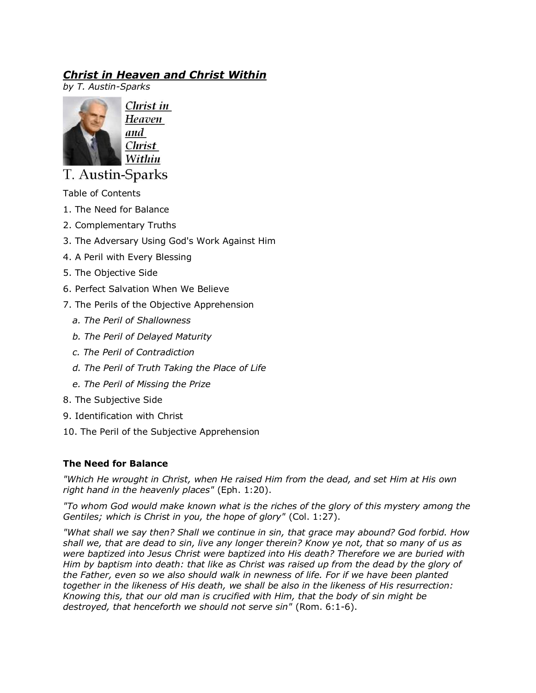# *Christ in Heaven and Christ Within*

*by T. Austin-Sparks*



Christ in Heaven and Christ Within

T. Austin-Sparks

Table of Contents

- 1. The Need for Balance
- 2. Complementary Truths
- 3. The Adversary Using God's Work Against Him
- 4. A Peril with Every Blessing
- 5. The Objective Side
- 6. Perfect Salvation When We Believe
- 7. The Perils of the Objective Apprehension
	- *a. The Peril of Shallowness*
	- *b. The Peril of Delayed Maturity*
	- *c. The Peril of Contradiction*
	- *d. The Peril of Truth Taking the Place of Life*
	- *e. The Peril of Missing the Prize*
- 8. The Subjective Side
- 9. Identification with Christ
- 10. The Peril of the Subjective Apprehension

# **The Need for Balance**

*"Which He wrought in Christ, when He raised Him from the dead, and set Him at His own right hand in the heavenly places"* (Eph. 1:20).

*"To whom God would make known what is the riches of the glory of this mystery among the Gentiles; which is Christ in you, the hope of glory"* (Col. 1:27).

*"What shall we say then? Shall we continue in sin, that grace may abound? God forbid. How shall we, that are dead to sin, live any longer therein? Know ye not, that so many of us as were baptized into Jesus Christ were baptized into His death? Therefore we are buried with Him by baptism into death: that like as Christ was raised up from the dead by the glory of the Father, even so we also should walk in newness of life. For if we have been planted together in the likeness of His death, we shall be also in the likeness of His resurrection: Knowing this, that our old man is crucified with Him, that the body of sin might be destroyed, that henceforth we should not serve sin"* (Rom. 6:1-6).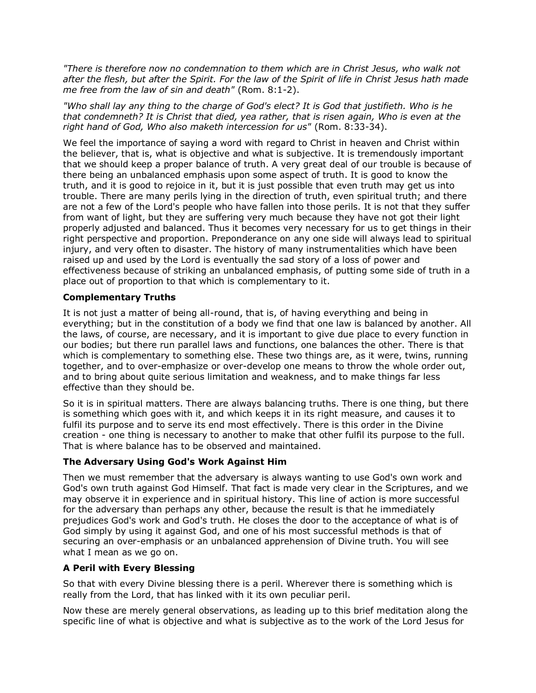*"There is therefore now no condemnation to them which are in Christ Jesus, who walk not after the flesh, but after the Spirit. For the law of the Spirit of life in Christ Jesus hath made me free from the law of sin and death"* (Rom. 8:1-2).

*"Who shall lay any thing to the charge of God's elect? It is God that justifieth. Who is he that condemneth? It is Christ that died, yea rather, that is risen again, Who is even at the right hand of God, Who also maketh intercession for us"* (Rom. 8:33-34).

We feel the importance of saying a word with regard to Christ in heaven and Christ within the believer, that is, what is objective and what is subjective. It is tremendously important that we should keep a proper balance of truth. A very great deal of our trouble is because of there being an unbalanced emphasis upon some aspect of truth. It is good to know the truth, and it is good to rejoice in it, but it is just possible that even truth may get us into trouble. There are many perils lying in the direction of truth, even spiritual truth; and there are not a few of the Lord's people who have fallen into those perils. It is not that they suffer from want of light, but they are suffering very much because they have not got their light properly adjusted and balanced. Thus it becomes very necessary for us to get things in their right perspective and proportion. Preponderance on any one side will always lead to spiritual injury, and very often to disaster. The history of many instrumentalities which have been raised up and used by the Lord is eventually the sad story of a loss of power and effectiveness because of striking an unbalanced emphasis, of putting some side of truth in a place out of proportion to that which is complementary to it.

# **Complementary Truths**

It is not just a matter of being all-round, that is, of having everything and being in everything; but in the constitution of a body we find that one law is balanced by another. All the laws, of course, are necessary, and it is important to give due place to every function in our bodies; but there run parallel laws and functions, one balances the other. There is that which is complementary to something else. These two things are, as it were, twins, running together, and to over-emphasize or over-develop one means to throw the whole order out, and to bring about quite serious limitation and weakness, and to make things far less effective than they should be.

So it is in spiritual matters. There are always balancing truths. There is one thing, but there is something which goes with it, and which keeps it in its right measure, and causes it to fulfil its purpose and to serve its end most effectively. There is this order in the Divine creation - one thing is necessary to another to make that other fulfil its purpose to the full. That is where balance has to be observed and maintained.

#### **The Adversary Using God's Work Against Him**

Then we must remember that the adversary is always wanting to use God's own work and God's own truth against God Himself. That fact is made very clear in the Scriptures, and we may observe it in experience and in spiritual history. This line of action is more successful for the adversary than perhaps any other, because the result is that he immediately prejudices God's work and God's truth. He closes the door to the acceptance of what is of God simply by using it against God, and one of his most successful methods is that of securing an over-emphasis or an unbalanced apprehension of Divine truth. You will see what I mean as we go on.

#### **A Peril with Every Blessing**

So that with every Divine blessing there is a peril. Wherever there is something which is really from the Lord, that has linked with it its own peculiar peril.

Now these are merely general observations, as leading up to this brief meditation along the specific line of what is objective and what is subjective as to the work of the Lord Jesus for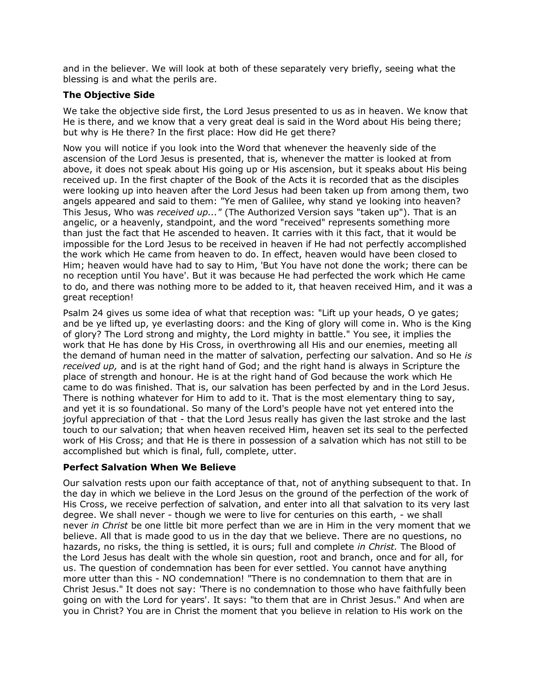and in the believer. We will look at both of these separately very briefly, seeing what the blessing is and what the perils are.

# **The Objective Side**

We take the objective side first, the Lord Jesus presented to us as in heaven. We know that He is there, and we know that a very great deal is said in the Word about His being there; but why is He there? In the first place: How did He get there?

Now you will notice if you look into the Word that whenever the heavenly side of the ascension of the Lord Jesus is presented, that is, whenever the matter is looked at from above, it does not speak about His going up or His ascension, but it speaks about His being received up. In the first chapter of the Book of the Acts it is recorded that as the disciples were looking up into heaven after the Lord Jesus had been taken up from among them, two angels appeared and said to them: "Ye men of Galilee, why stand ye looking into heaven? This Jesus, Who was *received up..."* (The Authorized Version says "taken up"). That is an angelic, or a heavenly, standpoint, and the word "received" represents something more than just the fact that He ascended to heaven. It carries with it this fact, that it would be impossible for the Lord Jesus to be received in heaven if He had not perfectly accomplished the work which He came from heaven to do. In effect, heaven would have been closed to Him; heaven would have had to say to Him, 'But You have not done the work; there can be no reception until You have'. But it was because He had perfected the work which He came to do, and there was nothing more to be added to it, that heaven received Him, and it was a great reception!

Psalm 24 gives us some idea of what that reception was: "Lift up your heads, O ye gates; and be ye lifted up, ye everlasting doors: and the King of glory will come in. Who is the King of glory? The Lord strong and mighty, the Lord mighty in battle." You see, it implies the work that He has done by His Cross, in overthrowing all His and our enemies, meeting all the demand of human need in the matter of salvation, perfecting our salvation. And so He *is received up,* and is at the right hand of God; and the right hand is always in Scripture the place of strength and honour. He is at the right hand of God because the work which He came to do was finished. That is, our salvation has been perfected by and in the Lord Jesus. There is nothing whatever for Him to add to it. That is the most elementary thing to say, and yet it is so foundational. So many of the Lord's people have not yet entered into the joyful appreciation of that - that the Lord Jesus really has given the last stroke and the last touch to our salvation; that when heaven received Him, heaven set its seal to the perfected work of His Cross; and that He is there in possession of a salvation which has not still to be accomplished but which is final, full, complete, utter.

#### **Perfect Salvation When We Believe**

Our salvation rests upon our faith acceptance of that, not of anything subsequent to that. In the day in which we believe in the Lord Jesus on the ground of the perfection of the work of His Cross, we receive perfection of salvation, and enter into all that salvation to its very last degree. We shall never - though we were to live for centuries on this earth, - we shall never *in Christ* be one little bit more perfect than we are in Him in the very moment that we believe. All that is made good to us in the day that we believe. There are no questions, no hazards, no risks, the thing is settled, it is ours; full and complete *in Christ.* The Blood of the Lord Jesus has dealt with the whole sin question, root and branch, once and for all, for us. The question of condemnation has been for ever settled. You cannot have anything more utter than this - NO condemnation! "There is no condemnation to them that are in Christ Jesus." It does not say: 'There is no condemnation to those who have faithfully been going on with the Lord for years'. It says: "to them that are in Christ Jesus." And when are you in Christ? You are in Christ the moment that you believe in relation to His work on the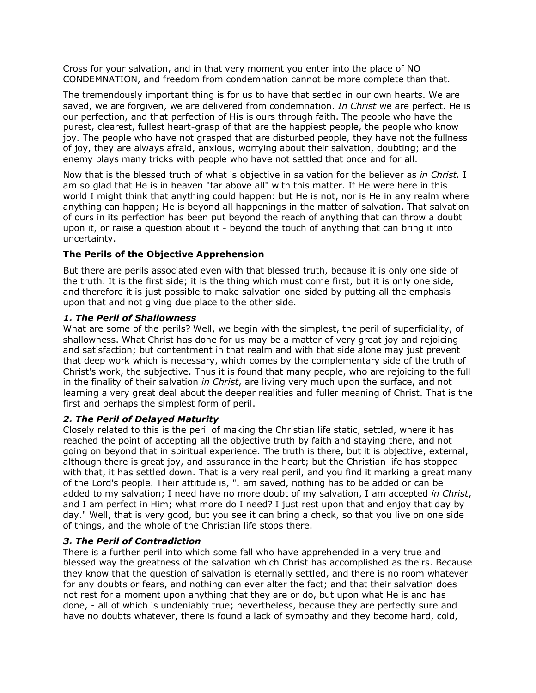Cross for your salvation, and in that very moment you enter into the place of NO CONDEMNATION, and freedom from condemnation cannot be more complete than that.

The tremendously important thing is for us to have that settled in our own hearts. We are saved, we are forgiven, we are delivered from condemnation. *In Christ* we are perfect. He is our perfection, and that perfection of His is ours through faith. The people who have the purest, clearest, fullest heart-grasp of that are the happiest people, the people who know joy. The people who have not grasped that are disturbed people, they have not the fullness of joy, they are always afraid, anxious, worrying about their salvation, doubting; and the enemy plays many tricks with people who have not settled that once and for all.

Now that is the blessed truth of what is objective in salvation for the believer as *in Christ.* I am so glad that He is in heaven "far above all" with this matter. If He were here in this world I might think that anything could happen: but He is not, nor is He in any realm where anything can happen; He is beyond all happenings in the matter of salvation. That salvation of ours in its perfection has been put beyond the reach of anything that can throw a doubt upon it, or raise a question about it - beyond the touch of anything that can bring it into uncertainty.

# **The Perils of the Objective Apprehension**

But there are perils associated even with that blessed truth, because it is only one side of the truth. It is the first side; it is the thing which must come first, but it is only one side, and therefore it is just possible to make salvation one-sided by putting all the emphasis upon that and not giving due place to the other side.

#### *1. The Peril of Shallowness*

What are some of the perils? Well, we begin with the simplest, the peril of superficiality, of shallowness. What Christ has done for us may be a matter of very great joy and rejoicing and satisfaction; but contentment in that realm and with that side alone may just prevent that deep work which is necessary, which comes by the complementary side of the truth of Christ's work, the subjective. Thus it is found that many people, who are rejoicing to the full in the finality of their salvation *in Christ*, are living very much upon the surface, and not learning a very great deal about the deeper realities and fuller meaning of Christ. That is the first and perhaps the simplest form of peril.

#### *2. The Peril of Delayed Maturity*

Closely related to this is the peril of making the Christian life static, settled, where it has reached the point of accepting all the objective truth by faith and staying there, and not going on beyond that in spiritual experience. The truth is there, but it is objective, external, although there is great joy, and assurance in the heart; but the Christian life has stopped with that, it has settled down. That is a very real peril, and you find it marking a great many of the Lord's people. Their attitude is, "I am saved, nothing has to be added or can be added to my salvation; I need have no more doubt of my salvation, I am accepted *in Christ*, and I am perfect in Him; what more do I need? I just rest upon that and enjoy that day by day." Well, that is very good, but you see it can bring a check, so that you live on one side of things, and the whole of the Christian life stops there.

#### *3. The Peril of Contradiction*

There is a further peril into which some fall who have apprehended in a very true and blessed way the greatness of the salvation which Christ has accomplished as theirs. Because they know that the question of salvation is eternally settled, and there is no room whatever for any doubts or fears, and nothing can ever alter the fact; and that their salvation does not rest for a moment upon anything that they are or do, but upon what He is and has done, - all of which is undeniably true; nevertheless, because they are perfectly sure and have no doubts whatever, there is found a lack of sympathy and they become hard, cold,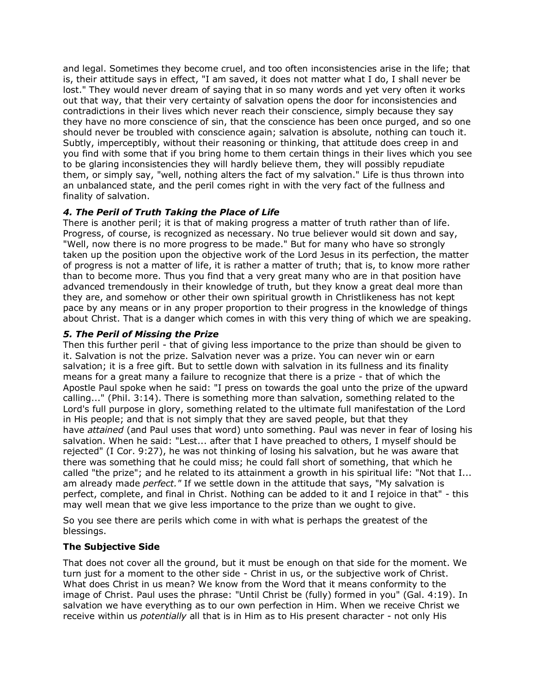and legal. Sometimes they become cruel, and too often inconsistencies arise in the life; that is, their attitude says in effect, "I am saved, it does not matter what I do, I shall never be lost." They would never dream of saying that in so many words and yet very often it works out that way, that their very certainty of salvation opens the door for inconsistencies and contradictions in their lives which never reach their conscience, simply because they say they have no more conscience of sin, that the conscience has been once purged, and so one should never be troubled with conscience again; salvation is absolute, nothing can touch it. Subtly, imperceptibly, without their reasoning or thinking, that attitude does creep in and you find with some that if you bring home to them certain things in their lives which you see to be glaring inconsistencies they will hardly believe them, they will possibly repudiate them, or simply say, "well, nothing alters the fact of my salvation." Life is thus thrown into an unbalanced state, and the peril comes right in with the very fact of the fullness and finality of salvation.

# *4. The Peril of Truth Taking the Place of Life*

There is another peril; it is that of making progress a matter of truth rather than of life. Progress, of course, is recognized as necessary. No true believer would sit down and say, "Well, now there is no more progress to be made." But for many who have so strongly taken up the position upon the objective work of the Lord Jesus in its perfection, the matter of progress is not a matter of life, it is rather a matter of truth; that is, to know more rather than to become more. Thus you find that a very great many who are in that position have advanced tremendously in their knowledge of truth, but they know a great deal more than they are, and somehow or other their own spiritual growth in Christlikeness has not kept pace by any means or in any proper proportion to their progress in the knowledge of things about Christ. That is a danger which comes in with this very thing of which we are speaking.

# *5. The Peril of Missing the Prize*

Then this further peril - that of giving less importance to the prize than should be given to it. Salvation is not the prize. Salvation never was a prize. You can never win or earn salvation; it is a free gift. But to settle down with salvation in its fullness and its finality means for a great many a failure to recognize that there is a prize - that of which the Apostle Paul spoke when he said: "I press on towards the goal unto the prize of the upward calling..." (Phil. 3:14). There is something more than salvation, something related to the Lord's full purpose in glory, something related to the ultimate full manifestation of the Lord in His people; and that is not simply that they are saved people, but that they have *attained* (and Paul uses that word) unto something. Paul was never in fear of losing his salvation. When he said: "Lest... after that I have preached to others, I myself should be rejected" (I Cor. 9:27), he was not thinking of losing his salvation, but he was aware that there was something that he could miss; he could fall short of something, that which he called "the prize"; and he related to its attainment a growth in his spiritual life: "Not that I... am already made *perfect."* If we settle down in the attitude that says, "My salvation is perfect, complete, and final in Christ. Nothing can be added to it and I rejoice in that" - this may well mean that we give less importance to the prize than we ought to give.

So you see there are perils which come in with what is perhaps the greatest of the blessings.

# **The Subjective Side**

That does not cover all the ground, but it must be enough on that side for the moment. We turn just for a moment to the other side - Christ in us, or the subjective work of Christ. What does Christ in us mean? We know from the Word that it means conformity to the image of Christ. Paul uses the phrase: "Until Christ be (fully) formed in you" (Gal. 4:19). In salvation we have everything as to our own perfection in Him. When we receive Christ we receive within us *potentially* all that is in Him as to His present character - not only His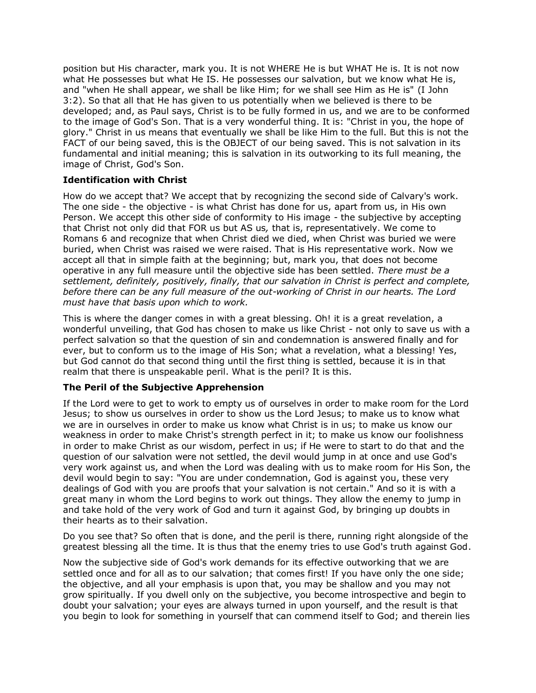position but His character, mark you. It is not WHERE He is but WHAT He is. It is not now what He possesses but what He IS. He possesses our salvation, but we know what He is, and "when He shall appear, we shall be like Him; for we shall see Him as He is" (I John 3:2). So that all that He has given to us potentially when we believed is there to be developed; and, as Paul says, Christ is to be fully formed in us, and we are to be conformed to the image of God's Son. That is a very wonderful thing. It is: "Christ in you, the hope of glory." Christ in us means that eventually we shall be like Him to the full. But this is not the FACT of our being saved, this is the OBJECT of our being saved. This is not salvation in its fundamental and initial meaning; this is salvation in its outworking to its full meaning, the image of Christ, God's Son.

# **Identification with Christ**

How do we accept that? We accept that by recognizing the second side of Calvary's work. The one side - the objective - is what Christ has done for us, apart from us, in His own Person. We accept this other side of conformity to His image - the subjective by accepting that Christ not only did that FOR us but AS us*,* that is, representatively. We come to Romans 6 and recognize that when Christ died we died, when Christ was buried we were buried, when Christ was raised we were raised. That is His representative work. Now we accept all that in simple faith at the beginning; but, mark you, that does not become operative in any full measure until the objective side has been settled. *There must be a settlement, definitely, positively, finally, that our salvation in Christ is perfect and complete, before there can be any full measure of the out-working of Christ in our hearts. The Lord must have that basis upon which to work.*

This is where the danger comes in with a great blessing. Oh! it is a great revelation, a wonderful unveiling, that God has chosen to make us like Christ - not only to save us with a perfect salvation so that the question of sin and condemnation is answered finally and for ever, but to conform us to the image of His Son; what a revelation, what a blessing! Yes, but God cannot do that second thing until the first thing is settled, because it is in that realm that there is unspeakable peril. What is the peril? It is this.

# **The Peril of the Subjective Apprehension**

If the Lord were to get to work to empty us of ourselves in order to make room for the Lord Jesus; to show us ourselves in order to show us the Lord Jesus; to make us to know what we are in ourselves in order to make us know what Christ is in us; to make us know our weakness in order to make Christ's strength perfect in it; to make us know our foolishness in order to make Christ as our wisdom, perfect in us; if He were to start to do that and the question of our salvation were not settled, the devil would jump in at once and use God's very work against us, and when the Lord was dealing with us to make room for His Son, the devil would begin to say: "You are under condemnation, God is against you, these very dealings of God with you are proofs that your salvation is not certain." And so it is with a great many in whom the Lord begins to work out things. They allow the enemy to jump in and take hold of the very work of God and turn it against God, by bringing up doubts in their hearts as to their salvation.

Do you see that? So often that is done, and the peril is there, running right alongside of the greatest blessing all the time. It is thus that the enemy tries to use God's truth against God.

Now the subjective side of God's work demands for its effective outworking that we are settled once and for all as to our salvation; that comes first! If you have only the one side; the objective, and all your emphasis is upon that, you may be shallow and you may not grow spiritually. If you dwell only on the subjective, you become introspective and begin to doubt your salvation; your eyes are always turned in upon yourself, and the result is that you begin to look for something in yourself that can commend itself to God; and therein lies